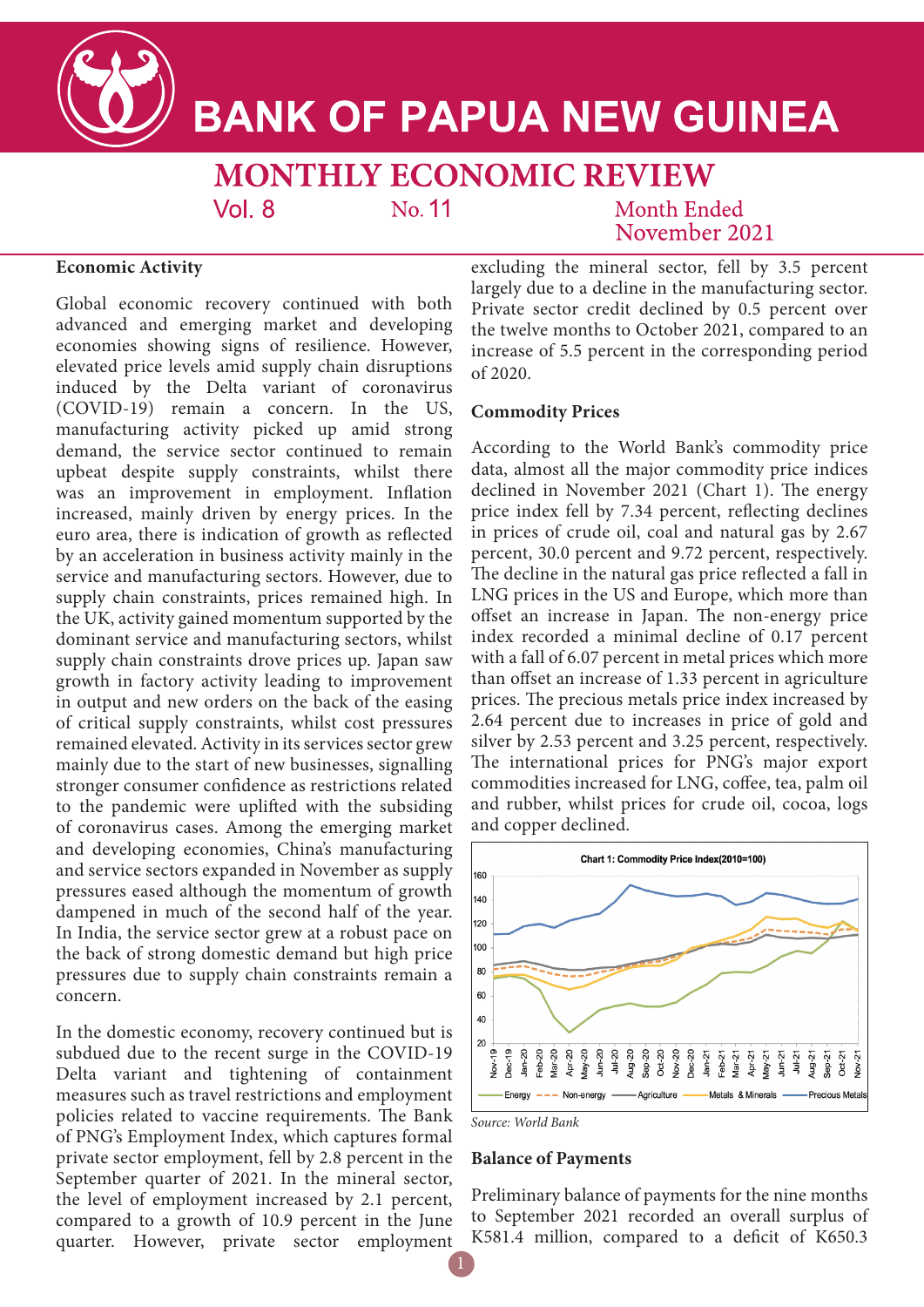

# **BANK OF PAPUA NEW GUINEA**

**MONTHLY ECONOMIC REVIEW** 

No. 11

Month Ended November 2021

## **Economic Activity**

Global economic recovery continued with both advanced and emerging market and developing economies showing signs of resilience. However, elevated price levels amid supply chain disruptions induced by the Delta variant of coronavirus (COVID-19) remain a concern. In the US, manufacturing activity picked up amid strong demand, the service sector continued to remain upbeat despite supply constraints, whilst there was an improvement in employment. Inflation increased, mainly driven by energy prices. In the euro area, there is indication of growth as reflected by an acceleration in business activity mainly in the service and manufacturing sectors. However, due to supply chain constraints, prices remained high. In the UK, activity gained momentum supported by the dominant service and manufacturing sectors, whilst supply chain constraints drove prices up. Japan saw growth in factory activity leading to improvement in output and new orders on the back of the easing of critical supply constraints, whilst cost pressures remained elevated. Activity in its services sector grew mainly due to the start of new businesses, signalling stronger consumer confidence as restrictions related to the pandemic were uplifted with the subsiding of coronavirus cases. Among the emerging market and developing economies, China's manufacturing and service sectors expanded in November as supply pressures eased although the momentum of growth dampened in much of the second half of the year. In India, the service sector grew at a robust pace on the back of strong domestic demand but high price pressures due to supply chain constraints remain a concern.

 $Vol_8$ 

In the domestic economy, recovery continued but is subdued due to the recent surge in the COVID-19 Delta variant and tightening of containment measures such as travel restrictions and employment policies related to vaccine requirements. The Bank of PNG's Employment Index, which captures formal private sector employment, fell by 2.8 percent in the September quarter of 2021. In the mineral sector, the level of employment increased by 2.1 percent, compared to a growth of 10.9 percent in the June quarter. However, private sector employment

excluding the mineral sector, fell by 3.5 percent largely due to a decline in the manufacturing sector. Private sector credit declined by 0.5 percent over the twelve months to October 2021, compared to an increase of 5.5 percent in the corresponding period of 2020.

#### **Commodity Prices**

According to the World Bank's commodity price data, almost all the major commodity price indices declined in November 2021 (Chart 1). The energy price index fell by 7.34 percent, reflecting declines in prices of crude oil, coal and natural gas by 2.67 percent, 30.0 percent and 9.72 percent, respectively. The decline in the natural gas price reflected a fall in LNG prices in the US and Europe, which more than offset an increase in Japan. The non-energy price index recorded a minimal decline of 0.17 percent with a fall of 6.07 percent in metal prices which more than offset an increase of 1.33 percent in agriculture prices. The precious metals price index increased by 2.64 percent due to increases in price of gold and silver by 2.53 percent and 3.25 percent, respectively. The international prices for PNG's major export commodities increased for LNG, coffee, tea, palm oil and rubber, whilst prices for crude oil, cocoa, logs and copper declined.



*Source: World Bank*

#### **Balance of Payments**

Preliminary balance of payments for the nine months to September 2021 recorded an overall surplus of K581.4 million, compared to a deficit of K650.3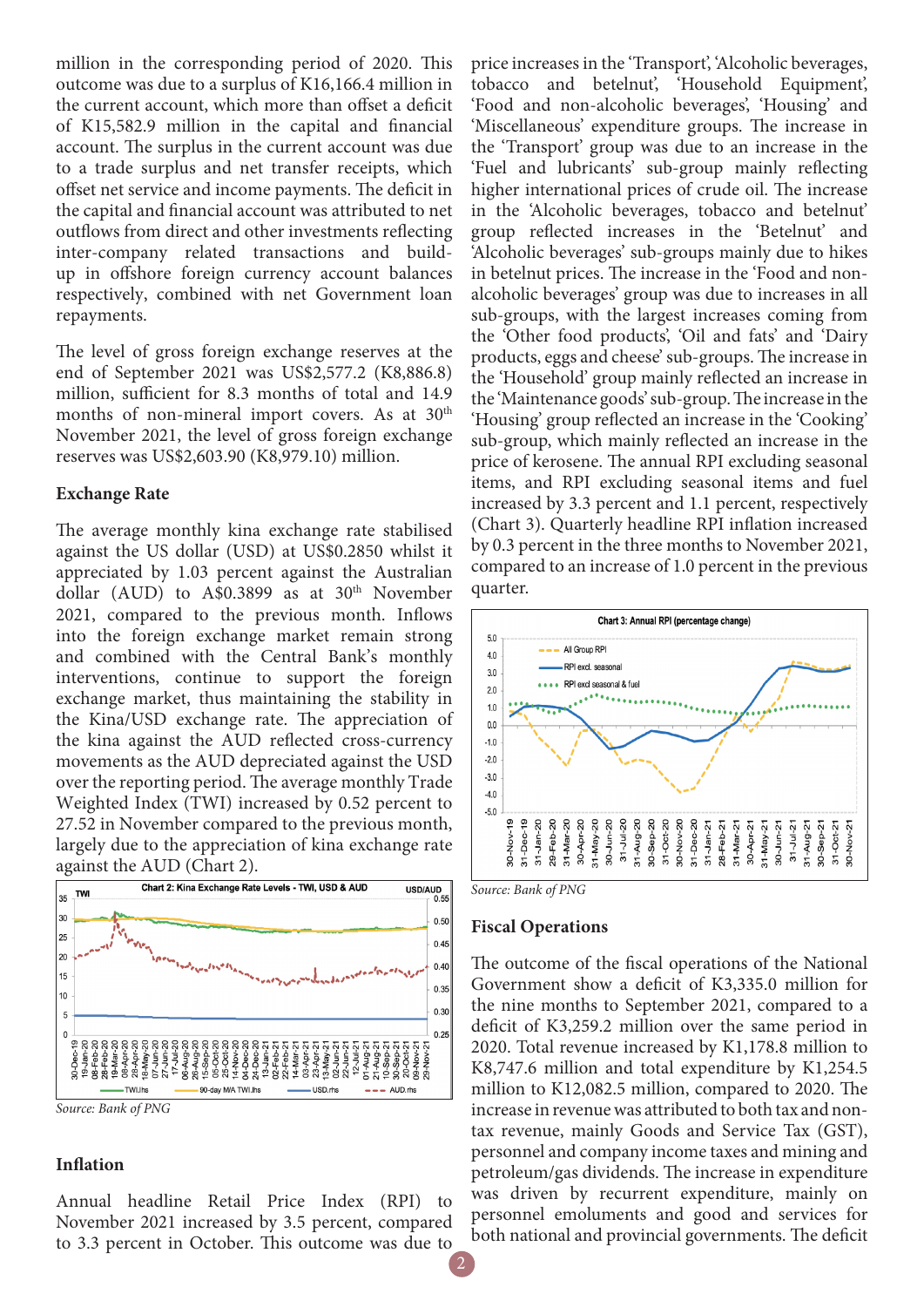million in the corresponding period of 2020. This outcome was due to a surplus of K16,166.4 million in the current account, which more than offset a deficit of K15,582.9 million in the capital and financial account. The surplus in the current account was due to a trade surplus and net transfer receipts, which offset net service and income payments. The deficit in the capital and financial account was attributed to net outflows from direct and other investments reflecting inter-company related transactions and buildup in offshore foreign currency account balances respectively, combined with net Government loan repayments.

The level of gross foreign exchange reserves at the end of September 2021 was US\$2,577.2 (K8,886.8) million, sufficient for 8.3 months of total and 14.9 months of non-mineral import covers. As at 30<sup>th</sup> November 2021, the level of gross foreign exchange reserves was US\$2,603.90 (K8,979.10) million.

## **Exchange Rate**

The average monthly kina exchange rate stabilised against the US dollar (USD) at US\$0.2850 whilst it appreciated by 1.03 percent against the Australian dollar (AUD) to A\$0.3899 as at  $30<sup>th</sup>$  November 2021, compared to the previous month. Inflows into the foreign exchange market remain strong and combined with the Central Bank's monthly interventions, continue to support the foreign exchange market, thus maintaining the stability in the Kina/USD exchange rate. The appreciation of the kina against the AUD reflected cross-currency movements as the AUD depreciated against the USD over the reporting period. The average monthly Trade Weighted Index (TWI) increased by 0.52 percent to 27.52 in November compared to the previous month, largely due to the appreciation of kina exchange rate against the AUD (Chart 2).





## **Inflation**

Annual headline Retail Price Index (RPI) to November 2021 increased by 3.5 percent, compared to 3.3 percent in October. This outcome was due to

price increases in the 'Transport', 'Alcoholic beverages, tobacco and betelnut', 'Household Equipment', 'Food and non-alcoholic beverages', 'Housing' and 'Miscellaneous' expenditure groups. The increase in the 'Transport' group was due to an increase in the 'Fuel and lubricants' sub-group mainly reflecting higher international prices of crude oil. The increase in the 'Alcoholic beverages, tobacco and betelnut' group reflected increases in the 'Betelnut' and 'Alcoholic beverages' sub-groups mainly due to hikes in betelnut prices. The increase in the 'Food and nonalcoholic beverages' group was due to increases in all sub-groups, with the largest increases coming from the 'Other food products', 'Oil and fats' and 'Dairy products, eggs and cheese' sub-groups. The increase in the 'Household' group mainly reflected an increase in the 'Maintenance goods' sub-group. The increase in the 'Housing' group reflected an increase in the 'Cooking' sub-group, which mainly reflected an increase in the price of kerosene. The annual RPI excluding seasonal items, and RPI excluding seasonal items and fuel increased by 3.3 percent and 1.1 percent, respectively (Chart 3). Quarterly headline RPI inflation increased by 0.3 percent in the three months to November 2021, compared to an increase of 1.0 percent in the previous quarter.



*Source: Bank of PNG*

## **Fiscal Operations**

The outcome of the fiscal operations of the National Government show a deficit of K3,335.0 million for the nine months to September 2021, compared to a deficit of K3,259.2 million over the same period in 2020. Total revenue increased by K1,178.8 million to K8,747.6 million and total expenditure by K1,254.5 million to K12,082.5 million, compared to 2020. The increase in revenue was attributed to both tax and nontax revenue, mainly Goods and Service Tax (GST), personnel and company income taxes and mining and petroleum/gas dividends. The increase in expenditure was driven by recurrent expenditure, mainly on personnel emoluments and good and services for both national and provincial governments. The deficit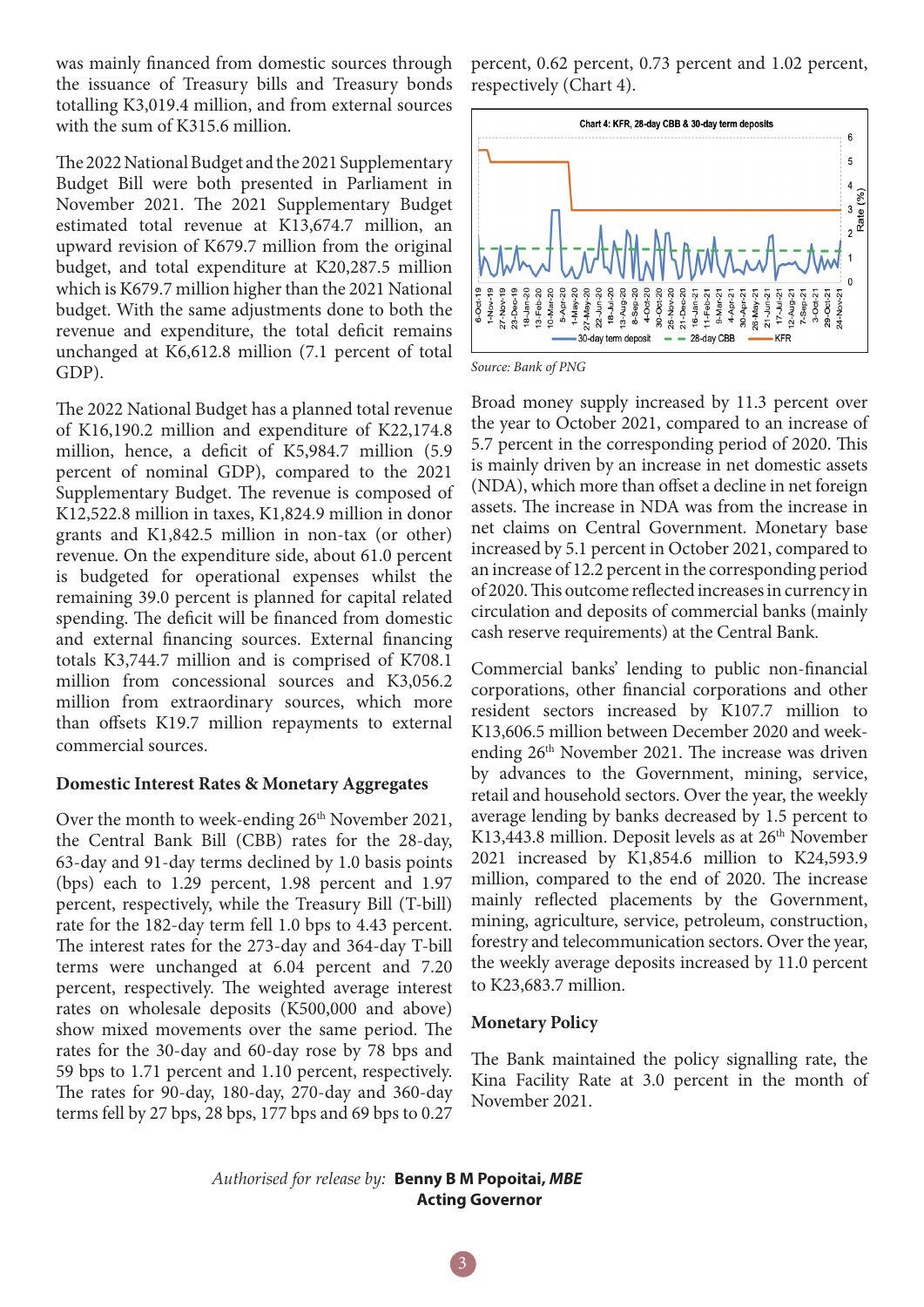was mainly financed from domestic sources through the issuance of Treasury bills and Treasury bonds totalling K3,019.4 million, and from external sources with the sum of K315.6 million.

The 2022 National Budget and the 2021 Supplementary Budget Bill were both presented in Parliament in November 2021. The 2021 Supplementary Budget estimated total revenue at K13,674.7 million, an upward revision of K679.7 million from the original budget, and total expenditure at K20,287.5 million which is K679.7 million higher than the 2021 National budget. With the same adjustments done to both the revenue and expenditure, the total deficit remains unchanged at K6,612.8 million (7.1 percent of total GDP).

The 2022 National Budget has a planned total revenue of K16,190.2 million and expenditure of K22,174.8 million, hence, a deficit of K5,984.7 million (5.9 percent of nominal GDP), compared to the 2021 Supplementary Budget. The revenue is composed of K12,522.8 million in taxes, K1,824.9 million in donor grants and K1,842.5 million in non-tax (or other) revenue. On the expenditure side, about 61.0 percent is budgeted for operational expenses whilst the remaining 39.0 percent is planned for capital related spending. The deficit will be financed from domestic and external financing sources. External financing totals K3,744.7 million and is comprised of K708.1 million from concessional sources and K3,056.2 million from extraordinary sources, which more than offsets K19.7 million repayments to external commercial sources.

## **Domestic Interest Rates & Monetary Aggregates**

Over the month to week-ending 26<sup>th</sup> November 2021, the Central Bank Bill (CBB) rates for the 28-day, 63-day and 91-day terms declined by 1.0 basis points (bps) each to 1.29 percent, 1.98 percent and 1.97 percent, respectively, while the Treasury Bill (T-bill) rate for the 182-day term fell 1.0 bps to 4.43 percent. The interest rates for the 273-day and 364-day T-bill terms were unchanged at 6.04 percent and 7.20 percent, respectively. The weighted average interest rates on wholesale deposits (K500,000 and above) show mixed movements over the same period. The rates for the 30-day and 60-day rose by 78 bps and 59 bps to 1.71 percent and 1.10 percent, respectively. The rates for 90-day, 180-day, 270-day and 360-day terms fell by 27 bps, 28 bps, 177 bps and 69 bps to 0.27

percent, 0.62 percent, 0.73 percent and 1.02 percent, respectively (Chart 4).



*Source: Bank of PNG*

Broad money supply increased by 11.3 percent over the year to October 2021, compared to an increase of 5.7 percent in the corresponding period of 2020. This is mainly driven by an increase in net domestic assets (NDA), which more than offset a decline in net foreign assets. The increase in NDA was from the increase in net claims on Central Government. Monetary base increased by 5.1 percent in October 2021, compared to an increase of 12.2 percent in the corresponding period of 2020. This outcome reflected increases in currency in circulation and deposits of commercial banks (mainly cash reserve requirements) at the Central Bank.

Commercial banks' lending to public non-financial corporations, other financial corporations and other resident sectors increased by K107.7 million to K13,606.5 million between December 2020 and weekending  $26<sup>th</sup>$  November 2021. The increase was driven by advances to the Government, mining, service, retail and household sectors. Over the year, the weekly average lending by banks decreased by 1.5 percent to K13,443.8 million. Deposit levels as at  $26<sup>th</sup>$  November 2021 increased by K1,854.6 million to K24,593.9 million, compared to the end of 2020. The increase mainly reflected placements by the Government, mining, agriculture, service, petroleum, construction, forestry and telecommunication sectors. Over the year, the weekly average deposits increased by 11.0 percent to K23,683.7 million.

# **Monetary Policy**

The Bank maintained the policy signalling rate, the Kina Facility Rate at 3.0 percent in the month of November 2021.

*Authorised for release by:* **Benny B M Popoitai,** *MBE*  **Acting Governor**